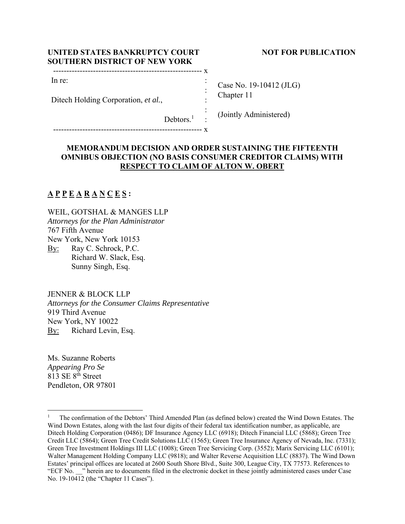| UNITED STATES BANKRUPTCY COURT       |
|--------------------------------------|
| <b>SOUTHERN DISTRICT OF NEW YORK</b> |

Ditech Holding Corporation, *et al.*,

-------------------------------------------------------- x

#### **NOT FOR PUBLICATION**

| Case No. 19-10412 (JLG) |
|-------------------------|
|                         |
| Chapter 11              |
|                         |
|                         |

Debtors.<sup>1</sup> :

-------------------------------------------------------- x

# (Jointly Administered)

## **MEMORANDUM DECISION AND ORDER SUSTAINING THE FIFTEENTH OMNIBUS OBJECTION (NO BASIS CONSUMER CREDITOR CLAIMS) WITH RESPECT TO CLAIM OF ALTON W. OBERT**

:

# **A P P E A R A N C E S :**

In re:

WEIL, GOTSHAL & MANGES LLP *Attorneys for the Plan Administrator*  767 Fifth Avenue New York, New York 10153 By: Ray C. Schrock, P.C. Richard W. Slack, Esq. Sunny Singh, Esq.

JENNER & BLOCK LLP

*Attorneys for the Consumer Claims Representative*  919 Third Avenue New York, NY 10022 By: Richard Levin, Esq.

Ms. Suzanne Roberts *Appearing Pro Se*   $813$  SE  $8<sup>th</sup>$  Street Pendleton, OR 97801

<sup>1</sup> The confirmation of the Debtors' Third Amended Plan (as defined below) created the Wind Down Estates. The Wind Down Estates, along with the last four digits of their federal tax identification number, as applicable, are Ditech Holding Corporation (0486); DF Insurance Agency LLC (6918); Ditech Financial LLC (5868); Green Tree Credit LLC (5864); Green Tree Credit Solutions LLC (1565); Green Tree Insurance Agency of Nevada, Inc. (7331); Green Tree Investment Holdings III LLC (1008); Green Tree Servicing Corp. (3552); Marix Servicing LLC (6101); Walter Management Holding Company LLC (9818); and Walter Reverse Acquisition LLC (8837). The Wind Down Estates' principal offices are located at 2600 South Shore Blvd., Suite 300, League City, TX 77573. References to "ECF No. \_\_" herein are to documents filed in the electronic docket in these jointly administered cases under Case No. 19-10412 (the "Chapter 11 Cases").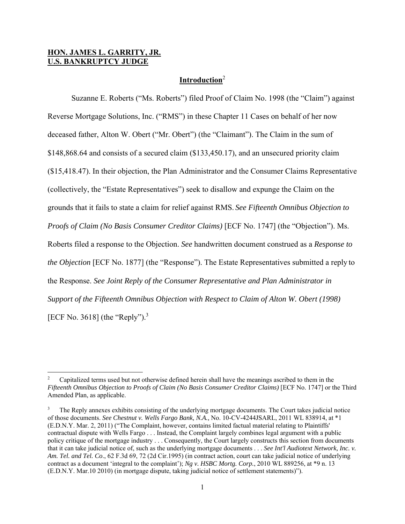#### **HON. JAMES L. GARRITY, JR. U.S. BANKRUPTCY JUDGE**

### **Introduction**<sup>2</sup>

 Suzanne E. Roberts ("Ms. Roberts") filed Proof of Claim No. 1998 (the "Claim") against Reverse Mortgage Solutions, Inc. ("RMS") in these Chapter 11 Cases on behalf of her now deceased father, Alton W. Obert ("Mr. Obert") (the "Claimant"). The Claim in the sum of \$148,868.64 and consists of a secured claim (\$133,450.17), and an unsecured priority claim (\$15,418.47). In their objection, the Plan Administrator and the Consumer Claims Representative (collectively, the "Estate Representatives") seek to disallow and expunge the Claim on the grounds that it fails to state a claim for relief against RMS. *See Fifteenth Omnibus Objection to Proofs of Claim (No Basis Consumer Creditor Claims)* [ECF No. 1747] (the "Objection"). Ms. Roberts filed a response to the Objection. *See* handwritten document construed as a *Response to the Objection* [ECF No. 1877] (the "Response"). The Estate Representatives submitted a reply to the Response. *See Joint Reply of the Consumer Representative and Plan Administrator in Support of the Fifteenth Omnibus Objection with Respect to Claim of Alton W. Obert (1998)* [ECF No. 3618] (the "Reply").<sup>3</sup>

<sup>2</sup> Capitalized terms used but not otherwise defined herein shall have the meanings ascribed to them in the *Fifteenth Omnibus Objection to Proofs of Claim (No Basis Consumer Creditor Claims)* [ECF No. 1747] or the Third Amended Plan, as applicable.

<sup>3</sup> The Reply annexes exhibits consisting of the underlying mortgage documents. The Court takes judicial notice of those documents. *See Chestnut v. Wells Fargo Bank, N.A.,* No. 10-CV-4244JSARL, 2011 WL 838914, at \*1 (E.D.N.Y. Mar. 2, 2011) ("The Complaint, however, contains limited factual material relating to Plaintiffs' contractual dispute with Wells Fargo . . . Instead, the Complaint largely combines legal argument with a public policy critique of the mortgage industry . . . Consequently, the Court largely constructs this section from documents that it can take judicial notice of, such as the underlying mortgage documents . . . *See Int'l Audiotext Network, Inc. v. Am. Tel. and Tel. Co*., 62 F.3d 69, 72 (2d Cir.1995) (in contract action, court can take judicial notice of underlying contract as a document 'integral to the complaint'); *Ng v. HSBC Mortg. Corp.*, 2010 WL 889256, at \*9 n. 13 (E.D.N.Y. Mar.10 2010) (in mortgage dispute, taking judicial notice of settlement statements)").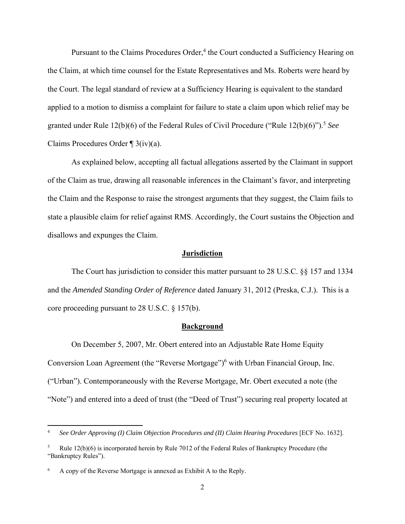Pursuant to the Claims Procedures Order,<sup>4</sup> the Court conducted a Sufficiency Hearing on the Claim, at which time counsel for the Estate Representatives and Ms. Roberts were heard by the Court. The legal standard of review at a Sufficiency Hearing is equivalent to the standard applied to a motion to dismiss a complaint for failure to state a claim upon which relief may be granted under Rule 12(b)(6) of the Federal Rules of Civil Procedure ("Rule 12(b)(6)").<sup>5</sup> *See*  Claims Procedures Order ¶ 3(iv)(a).

 As explained below, accepting all factual allegations asserted by the Claimant in support of the Claim as true, drawing all reasonable inferences in the Claimant's favor, and interpreting the Claim and the Response to raise the strongest arguments that they suggest, the Claim fails to state a plausible claim for relief against RMS. Accordingly, the Court sustains the Objection and disallows and expunges the Claim.

#### **Jurisdiction**

 The Court has jurisdiction to consider this matter pursuant to 28 U.S.C. §§ 157 and 1334 and the *Amended Standing Order of Reference* dated January 31, 2012 (Preska, C.J.). This is a core proceeding pursuant to 28 U.S.C. § 157(b).

#### **Background**

 On December 5, 2007, Mr. Obert entered into an Adjustable Rate Home Equity Conversion Loan Agreement (the "Reverse Mortgage")<sup>6</sup> with Urban Financial Group, Inc. ("Urban"). Contemporaneously with the Reverse Mortgage, Mr. Obert executed a note (the "Note") and entered into a deed of trust (the "Deed of Trust") securing real property located at

<sup>4</sup> *See Order Approving (I) Claim Objection Procedures and (II) Claim Hearing Procedures* [ECF No. 1632].

<sup>5</sup> Rule 12(b)(6) is incorporated herein by Rule 7012 of the Federal Rules of Bankruptcy Procedure (the "Bankruptcy Rules").

<sup>6</sup> A copy of the Reverse Mortgage is annexed as Exhibit A to the Reply.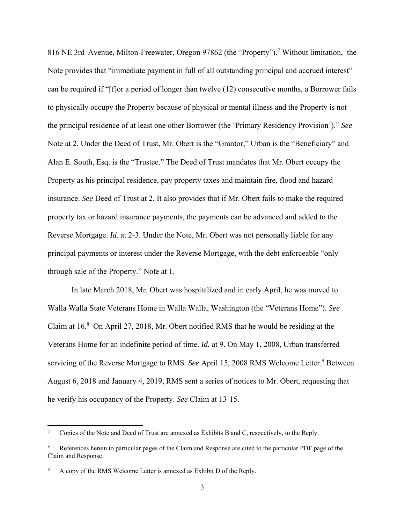816 NE 3rd Avenue, Milton-Freewater, Oregon 97862 (the "Property").<sup>7</sup> Without limitation, the Note provides that "immediate payment in full of all outstanding principal and accrued interest" can be required if "[f]or a period of longer than twelve (12) consecutive months, a Borrower fails to physically occupy the Property because of physical or mental illness and the Property is not the principal residence of at least one other Borrower (the 'Primary Residency Provision')." *See*  Note at 2. Under the Deed of Trust, Mr. Obert is the "Grantor," Urban is the "Beneficiary" and Alan E. South, Esq. is the "Trustee." The Deed of Trust mandates that Mr. Obert occupy the Property as his principal residence, pay property taxes and maintain fire, flood and hazard insurance. *See* Deed of Trust at 2. It also provides that if Mr. Obert fails to make the required property tax or hazard insurance payments, the payments can be advanced and added to the Reverse Mortgage. *Id.* at 2-3. Under the Note, Mr. Obert was not personally liable for any principal payments or interest under the Reverse Mortgage, with the debt enforceable "only through sale of the Property." Note at 1.

 In late March 2018, Mr. Obert was hospitalized and in early April, he was moved to Walla Walla State Veterans Home in Walla Walla, Washington (the "Veterans Home"). *See*  Claim at  $16<sup>8</sup>$  On April 27, 2018, Mr. Obert notified RMS that he would be residing at the Veterans Home for an indefinite period of time. *Id.* at 9. On May 1, 2008, Urban transferred servicing of the Reverse Mortgage to RMS. See April 15, 2008 RMS Welcome Letter.<sup>9</sup> Between August 6, 2018 and January 4, 2019, RMS sent a series of notices to Mr. Obert, requesting that he verify his occupancy of the Property. *See* Claim at 13-15.

<sup>7</sup> Copies of the Note and Deed of Trust are annexed as Exhibits B and C, respectively, to the Reply.

<sup>8</sup> References herein to particular pages of the Claim and Response are cited to the particular PDF page of the Claim and Response.

<sup>9</sup> A copy of the RMS Welcome Letter is annexed as Exhibit D of the Reply.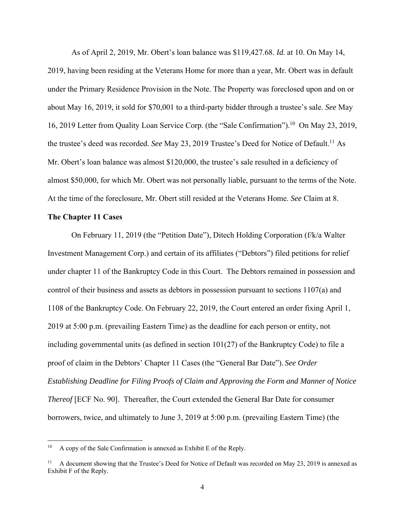As of April 2, 2019, Mr. Obert's loan balance was \$119,427.68. *Id.* at 10. On May 14, 2019, having been residing at the Veterans Home for more than a year, Mr. Obert was in default under the Primary Residence Provision in the Note. The Property was foreclosed upon and on or about May 16, 2019, it sold for \$70,001 to a third-party bidder through a trustee's sale. *See* May 16, 2019 Letter from Quality Loan Service Corp. (the "Sale Confirmation").<sup>10</sup> On May 23, 2019, the trustee's deed was recorded. *See* May 23, 2019 Trustee's Deed for Notice of Default.<sup>11</sup> As Mr. Obert's loan balance was almost \$120,000, the trustee's sale resulted in a deficiency of almost \$50,000, for which Mr. Obert was not personally liable, pursuant to the terms of the Note. At the time of the foreclosure, Mr. Obert still resided at the Veterans Home. *See* Claim at 8.

#### **The Chapter 11 Cases**

 On February 11, 2019 (the "Petition Date"), Ditech Holding Corporation (f/k/a Walter Investment Management Corp.) and certain of its affiliates ("Debtors") filed petitions for relief under chapter 11 of the Bankruptcy Code in this Court. The Debtors remained in possession and control of their business and assets as debtors in possession pursuant to sections 1107(a) and 1108 of the Bankruptcy Code. On February 22, 2019, the Court entered an order fixing April 1, 2019 at 5:00 p.m. (prevailing Eastern Time) as the deadline for each person or entity, not including governmental units (as defined in section 101(27) of the Bankruptcy Code) to file a proof of claim in the Debtors' Chapter 11 Cases (the "General Bar Date"). *See Order Establishing Deadline for Filing Proofs of Claim and Approving the Form and Manner of Notice Thereof* [ECF No. 90]. Thereafter, the Court extended the General Bar Date for consumer borrowers, twice, and ultimately to June 3, 2019 at 5:00 p.m. (prevailing Eastern Time) (the

<sup>&</sup>lt;sup>10</sup> A copy of the Sale Confirmation is annexed as Exhibit E of the Reply.

<sup>&</sup>lt;sup>11</sup> A document showing that the Trustee's Deed for Notice of Default was recorded on May 23, 2019 is annexed as Exhibit F of the Reply.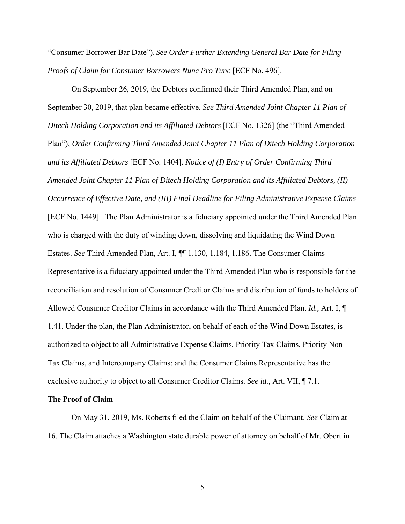"Consumer Borrower Bar Date"). *See Order Further Extending General Bar Date for Filing Proofs of Claim for Consumer Borrowers Nunc Pro Tunc* [ECF No. 496].

 On September 26, 2019, the Debtors confirmed their Third Amended Plan, and on September 30, 2019, that plan became effective. *See Third Amended Joint Chapter 11 Plan of Ditech Holding Corporation and its Affiliated Debtors* [ECF No. 1326] (the "Third Amended Plan"); *Order Confirming Third Amended Joint Chapter 11 Plan of Ditech Holding Corporation and its Affiliated Debtors* [ECF No. 1404]. *Notice of (I) Entry of Order Confirming Third Amended Joint Chapter 11 Plan of Ditech Holding Corporation and its Affiliated Debtors, (II) Occurrence of Effective Date, and (III) Final Deadline for Filing Administrative Expense Claims* [ECF No. 1449]. The Plan Administrator is a fiduciary appointed under the Third Amended Plan who is charged with the duty of winding down, dissolving and liquidating the Wind Down Estates. *See* Third Amended Plan, Art. I, ¶¶ 1.130, 1.184, 1.186. The Consumer Claims Representative is a fiduciary appointed under the Third Amended Plan who is responsible for the reconciliation and resolution of Consumer Creditor Claims and distribution of funds to holders of Allowed Consumer Creditor Claims in accordance with the Third Amended Plan. *Id.,* Art. I, ¶ 1.41. Under the plan, the Plan Administrator, on behalf of each of the Wind Down Estates, is authorized to object to all Administrative Expense Claims, Priority Tax Claims, Priority Non-Tax Claims, and Intercompany Claims; and the Consumer Claims Representative has the exclusive authority to object to all Consumer Creditor Claims. *See id.*, Art. VII, ¶ 7.1.

#### **The Proof of Claim**

On May 31, 2019, Ms. Roberts filed the Claim on behalf of the Claimant. *See* Claim at 16. The Claim attaches a Washington state durable power of attorney on behalf of Mr. Obert in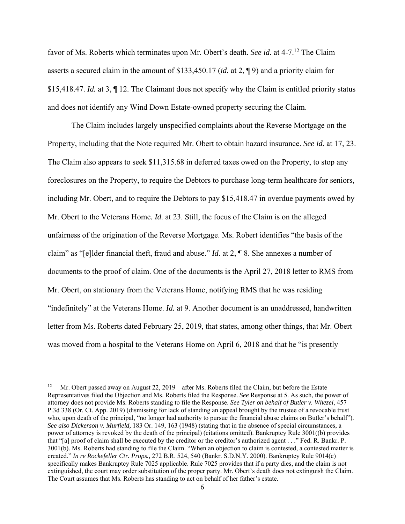favor of Ms. Roberts which terminates upon Mr. Obert's death. *See id.* at 4-7.12 The Claim asserts a secured claim in the amount of \$133,450.17 (*id.* at 2, ¶ 9) and a priority claim for \$15,418.47. *Id.* at 3, ¶ 12. The Claimant does not specify why the Claim is entitled priority status and does not identify any Wind Down Estate-owned property securing the Claim.

 The Claim includes largely unspecified complaints about the Reverse Mortgage on the Property, including that the Note required Mr. Obert to obtain hazard insurance. *See id.* at 17, 23. The Claim also appears to seek \$11,315.68 in deferred taxes owed on the Property, to stop any foreclosures on the Property, to require the Debtors to purchase long-term healthcare for seniors, including Mr. Obert, and to require the Debtors to pay \$15,418.47 in overdue payments owed by Mr. Obert to the Veterans Home*. Id.* at 23. Still, the focus of the Claim is on the alleged unfairness of the origination of the Reverse Mortgage. Ms. Robert identifies "the basis of the claim" as "[e]lder financial theft, fraud and abuse." *Id.* at 2, ¶ 8. She annexes a number of documents to the proof of claim. One of the documents is the April 27, 2018 letter to RMS from Mr. Obert, on stationary from the Veterans Home, notifying RMS that he was residing "indefinitely" at the Veterans Home. *Id.* at 9. Another document is an unaddressed, handwritten letter from Ms. Roberts dated February 25, 2019, that states, among other things, that Mr. Obert was moved from a hospital to the Veterans Home on April 6, 2018 and that he "is presently

<sup>12</sup> Mr. Obert passed away on August 22, 2019 – after Ms. Roberts filed the Claim, but before the Estate Representatives filed the Objection and Ms. Roberts filed the Response. *See* Response at 5. As such, the power of attorney does not provide Ms. Roberts standing to file the Response. *See Tyler on behalf of Butler v. Whezel*, 457 P.3d 338 (Or. Ct. App. 2019) (dismissing for lack of standing an appeal brought by the trustee of a revocable trust who, upon death of the principal, "no longer had authority to pursue the financial abuse claims on Butler's behalf"). *See also Dickerson v. Murfield,* 183 Or. 149, 163 (1948) (stating that in the absence of special circumstances, a power of attorney is revoked by the death of the principal) (citations omitted). Bankruptcy Rule 3001((b) provides that "[a] proof of claim shall be executed by the creditor or the creditor's authorized agent . . ." Fed. R. Bankr. P. 3001(b). Ms. Roberts had standing to file the Claim. "When an objection to claim is contested, a contested matter is created." *In re Rockefeller Ctr. Props.,* 272 B.R. 524, 540 (Bankr. S.D.N.Y. 2000). Bankruptcy Rule 9014(c) specifically makes Bankruptcy Rule 7025 applicable. Rule 7025 provides that if a party dies, and the claim is not extinguished, the court may order substitution of the proper party. Mr. Obert's death does not extinguish the Claim. The Court assumes that Ms. Roberts has standing to act on behalf of her father's estate.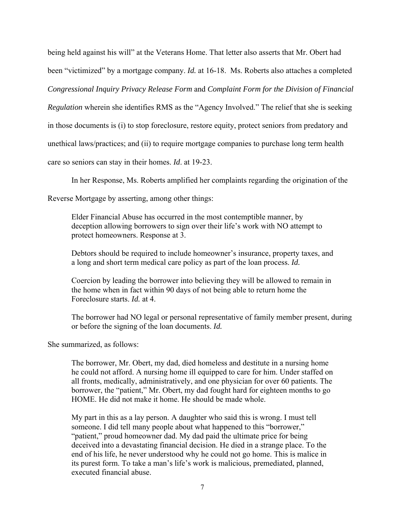being held against his will" at the Veterans Home. That letter also asserts that Mr. Obert had been "victimized" by a mortgage company. *Id.* at 16-18. Ms. Roberts also attaches a completed *Congressional Inquiry Privacy Release Form* and *Complaint Form for the Division of Financial Regulation* wherein she identifies RMS as the "Agency Involved." The relief that she is seeking in those documents is (i) to stop foreclosure, restore equity, protect seniors from predatory and unethical laws/practices; and (ii) to require mortgage companies to purchase long term health care so seniors can stay in their homes. *Id*. at 19-23.

In her Response, Ms. Roberts amplified her complaints regarding the origination of the

Reverse Mortgage by asserting, among other things:

Elder Financial Abuse has occurred in the most contemptible manner, by deception allowing borrowers to sign over their life's work with NO attempt to protect homeowners. Response at 3.

Debtors should be required to include homeowner's insurance, property taxes, and a long and short term medical care policy as part of the loan process. *Id.* 

Coercion by leading the borrower into believing they will be allowed to remain in the home when in fact within 90 days of not being able to return home the Foreclosure starts. *Id.* at 4.

The borrower had NO legal or personal representative of family member present, during or before the signing of the loan documents. *Id.* 

She summarized, as follows:

The borrower, Mr. Obert, my dad, died homeless and destitute in a nursing home he could not afford. A nursing home ill equipped to care for him. Under staffed on all fronts, medically, administratively, and one physician for over 60 patients. The borrower, the "patient," Mr. Obert, my dad fought hard for eighteen months to go HOME. He did not make it home. He should be made whole.

My part in this as a lay person. A daughter who said this is wrong. I must tell someone. I did tell many people about what happened to this "borrower," "patient," proud homeowner dad. My dad paid the ultimate price for being deceived into a devastating financial decision. He died in a strange place. To the end of his life, he never understood why he could not go home. This is malice in its purest form. To take a man's life's work is malicious, premediated, planned, executed financial abuse.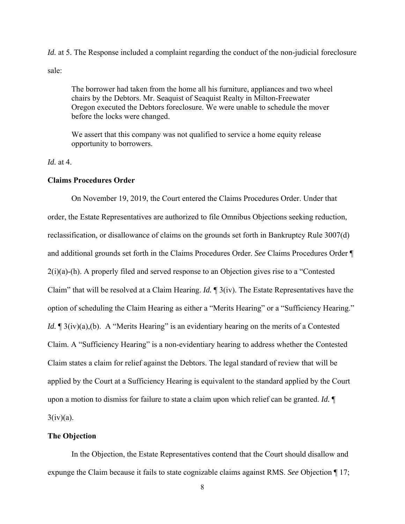*Id.* at 5. The Response included a complaint regarding the conduct of the non-judicial foreclosure sale:

The borrower had taken from the home all his furniture, appliances and two wheel chairs by the Debtors. Mr. Seaquist of Seaquist Realty in Milton-Freewater Oregon executed the Debtors foreclosure. We were unable to schedule the mover before the locks were changed.

We assert that this company was not qualified to service a home equity release opportunity to borrowers.

*Id.* at 4.

#### **Claims Procedures Order**

 On November 19, 2019, the Court entered the Claims Procedures Order. Under that order, the Estate Representatives are authorized to file Omnibus Objections seeking reduction, reclassification, or disallowance of claims on the grounds set forth in Bankruptcy Rule 3007(d) and additional grounds set forth in the Claims Procedures Order. *See* Claims Procedures Order ¶  $2(i)(a)$ -(h). A properly filed and served response to an Objection gives rise to a "Contested Claim" that will be resolved at a Claim Hearing. *Id.* ¶ 3(iv). The Estate Representatives have the option of scheduling the Claim Hearing as either a "Merits Hearing" or a "Sufficiency Hearing." *Id.*  $\mathbb{I}$  3(iv)(a),(b). A "Merits Hearing" is an evidentiary hearing on the merits of a Contested Claim. A "Sufficiency Hearing" is a non-evidentiary hearing to address whether the Contested Claim states a claim for relief against the Debtors. The legal standard of review that will be applied by the Court at a Sufficiency Hearing is equivalent to the standard applied by the Court upon a motion to dismiss for failure to state a claim upon which relief can be granted. *Id.* ¶  $3(iv)(a)$ .

#### **The Objection**

 In the Objection, the Estate Representatives contend that the Court should disallow and expunge the Claim because it fails to state cognizable claims against RMS. *See* Objection ¶ 17;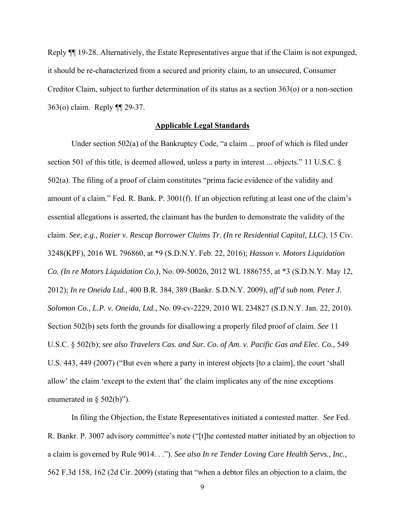Reply ¶¶ 19-28. Alternatively, the Estate Representatives argue that if the Claim is not expunged, it should be re-characterized from a secured and priority claim, to an unsecured, Consumer Creditor Claim, subject to further determination of its status as a section 363(o) or a non-section 363(o) claim. Reply ¶¶ 29-37.

#### **Applicable Legal Standards**

 Under section 502(a) of the Bankruptcy Code, "a claim ... proof of which is filed under section 501 of this title, is deemed allowed, unless a party in interest ... objects." 11 U.S.C. § 502(a). The filing of a proof of claim constitutes "prima facie evidence of the validity and amount of a claim." Fed. R. Bank. P. 3001(f). If an objection refuting at least one of the claim's essential allegations is asserted, the claimant has the burden to demonstrate the validity of the claim. *See, e.g., Rozier v. Rescap Borrower Claims Tr. (In re Residential Capital, LLC)*, 15 Civ. 3248(KPF), 2016 WL 796860, at \*9 (S.D.N.Y. Feb. 22, 2016); *Hasson v. Motors Liquidation Co. (In re Motors Liquidation Co.)*, No. 09-50026, 2012 WL 1886755, at \*3 (S.D.N.Y. May 12, 2012); *In re Oneida Ltd.*, 400 B.R. 384, 389 (Bankr. S.D.N.Y. 2009), *aff'd sub nom. Peter J. Solomon Co., L.P. v. Oneida, Ltd.*, No. 09-cv-2229, 2010 WL 234827 (S.D.N.Y. Jan. 22, 2010). Section 502(b) sets forth the grounds for disallowing a properly filed proof of claim. *See* 11 U.S.C. § 502(b); *see also Travelers Cas. and Sur. Co. of Am. v. Pacific Gas and Elec. Co.,* 549 U.S. 443, 449 (2007) ("But even where a party in interest objects [to a claim], the court 'shall allow' the claim 'except to the extent that' the claim implicates any of the nine exceptions enumerated in § 502(b)").

 In filing the Objection, the Estate Representatives initiated a contested matter. *See* Fed. R. Bankr. P. 3007 advisory committee's note ("[t]he contested matter initiated by an objection to a claim is governed by Rule 9014. . ."). *See also In re Tender Loving Care Health Servs., Inc.*, 562 F.3d 158, 162 (2d Cir. 2009) (stating that "when a debtor files an objection to a claim, the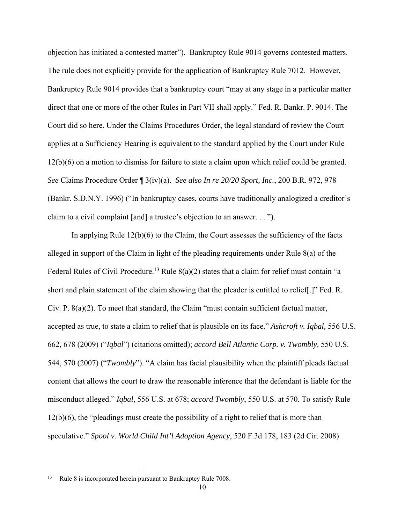objection has initiated a contested matter"). Bankruptcy Rule 9014 governs contested matters. The rule does not explicitly provide for the application of Bankruptcy Rule 7012. However, Bankruptcy Rule 9014 provides that a bankruptcy court "may at any stage in a particular matter direct that one or more of the other Rules in Part VII shall apply." Fed. R. Bankr. P. 9014. The Court did so here. Under the Claims Procedures Order, the legal standard of review the Court applies at a Sufficiency Hearing is equivalent to the standard applied by the Court under Rule 12(b)(6) on a motion to dismiss for failure to state a claim upon which relief could be granted. *See* Claims Procedure Order ¶ 3(iv)(a). *See also In re 20/20 Sport, Inc.*, 200 B.R. 972, 978 (Bankr. S.D.N.Y. 1996) ("In bankruptcy cases, courts have traditionally analogized a creditor's claim to a civil complaint [and] a trustee's objection to an answer. . . ").

 In applying Rule 12(b)(6) to the Claim, the Court assesses the sufficiency of the facts alleged in support of the Claim in light of the pleading requirements under Rule 8(a) of the Federal Rules of Civil Procedure.<sup>13</sup> Rule 8(a)(2) states that a claim for relief must contain "a short and plain statement of the claim showing that the pleader is entitled to relief[.]" Fed. R. Civ. P. 8(a)(2). To meet that standard, the Claim "must contain sufficient factual matter, accepted as true, to state a claim to relief that is plausible on its face." *Ashcroft v. Iqbal,* 556 U.S. 662, 678 (2009) ("*Iqbal*") (citations omitted); *accord Bell Atlantic Corp. v. Twombly,* 550 U.S. 544, 570 (2007) ("*Twombly*"). "A claim has facial plausibility when the plaintiff pleads factual content that allows the court to draw the reasonable inference that the defendant is liable for the misconduct alleged." *Iqbal*, 556 U.S. at 678; *accord Twombly*, 550 U.S. at 570. To satisfy Rule 12(b)(6), the "pleadings must create the possibility of a right to relief that is more than speculative." *Spool v. World Child Int'l Adoption Agency*, 520 F.3d 178, 183 (2d Cir. 2008)

<sup>&</sup>lt;sup>13</sup> Rule 8 is incorporated herein pursuant to Bankruptcy Rule 7008.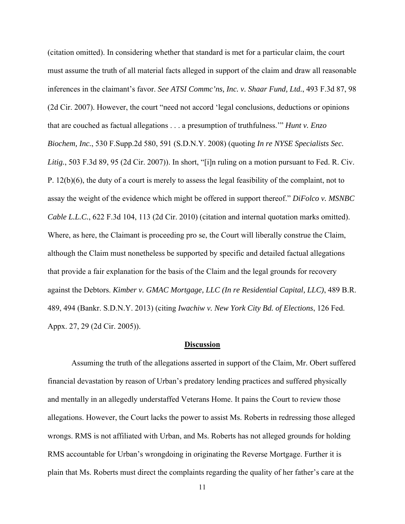(citation omitted). In considering whether that standard is met for a particular claim, the court must assume the truth of all material facts alleged in support of the claim and draw all reasonable inferences in the claimant's favor. *See ATSI Commc'ns, Inc. v. Shaar Fund, Ltd.*, 493 F.3d 87, 98 (2d Cir. 2007). However, the court "need not accord 'legal conclusions, deductions or opinions that are couched as factual allegations . . . a presumption of truthfulness.'" *Hunt v. Enzo Biochem, Inc.*, 530 F.Supp.2d 580, 591 (S.D.N.Y. 2008) (quoting *In re NYSE Specialists Sec. Litig.*, 503 F.3d 89, 95 (2d Cir. 2007)). In short, "[i]n ruling on a motion pursuant to Fed. R. Civ. P. 12(b)(6), the duty of a court is merely to assess the legal feasibility of the complaint, not to assay the weight of the evidence which might be offered in support thereof." *DiFolco v. MSNBC Cable L.L.C.*, 622 F.3d 104, 113 (2d Cir. 2010) (citation and internal quotation marks omitted). Where, as here, the Claimant is proceeding pro se, the Court will liberally construe the Claim, although the Claim must nonetheless be supported by specific and detailed factual allegations that provide a fair explanation for the basis of the Claim and the legal grounds for recovery against the Debtors. *Kimber v. GMAC Mortgage, LLC (In re Residential Capital, LLC)*, 489 B.R. 489, 494 (Bankr. S.D.N.Y. 2013) (citing *Iwachiw v. New York City Bd. of Elections*, 126 Fed. Appx. 27, 29 (2d Cir. 2005)).

#### **Discussion**

 Assuming the truth of the allegations asserted in support of the Claim, Mr. Obert suffered financial devastation by reason of Urban's predatory lending practices and suffered physically and mentally in an allegedly understaffed Veterans Home. It pains the Court to review those allegations. However, the Court lacks the power to assist Ms. Roberts in redressing those alleged wrongs. RMS is not affiliated with Urban, and Ms. Roberts has not alleged grounds for holding RMS accountable for Urban's wrongdoing in originating the Reverse Mortgage. Further it is plain that Ms. Roberts must direct the complaints regarding the quality of her father's care at the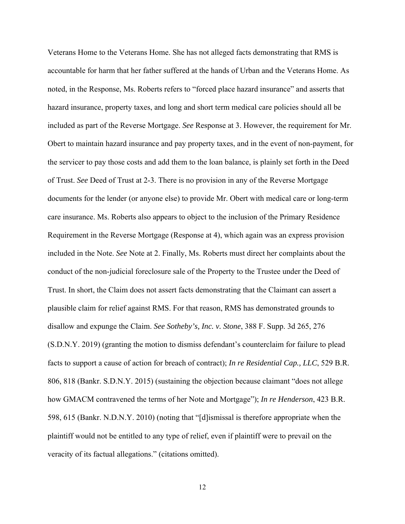Veterans Home to the Veterans Home. She has not alleged facts demonstrating that RMS is accountable for harm that her father suffered at the hands of Urban and the Veterans Home. As noted, in the Response, Ms. Roberts refers to "forced place hazard insurance" and asserts that hazard insurance, property taxes, and long and short term medical care policies should all be included as part of the Reverse Mortgage. *See* Response at 3. However, the requirement for Mr. Obert to maintain hazard insurance and pay property taxes, and in the event of non-payment, for the servicer to pay those costs and add them to the loan balance, is plainly set forth in the Deed of Trust. *See* Deed of Trust at 2-3. There is no provision in any of the Reverse Mortgage documents for the lender (or anyone else) to provide Mr. Obert with medical care or long-term care insurance. Ms. Roberts also appears to object to the inclusion of the Primary Residence Requirement in the Reverse Mortgage (Response at 4), which again was an express provision included in the Note. *See* Note at 2. Finally, Ms. Roberts must direct her complaints about the conduct of the non-judicial foreclosure sale of the Property to the Trustee under the Deed of Trust. In short, the Claim does not assert facts demonstrating that the Claimant can assert a plausible claim for relief against RMS. For that reason, RMS has demonstrated grounds to disallow and expunge the Claim. *See Sotheby's, Inc. v. Stone*, 388 F. Supp. 3d 265, 276 (S.D.N.Y. 2019) (granting the motion to dismiss defendant's counterclaim for failure to plead facts to support a cause of action for breach of contract); *In re Residential Cap., LLC*, 529 B.R. 806, 818 (Bankr. S.D.N.Y. 2015) (sustaining the objection because claimant "does not allege how GMACM contravened the terms of her Note and Mortgage"); *In re Henderson*, 423 B.R. 598, 615 (Bankr. N.D.N.Y. 2010) (noting that "[d]ismissal is therefore appropriate when the plaintiff would not be entitled to any type of relief, even if plaintiff were to prevail on the veracity of its factual allegations." (citations omitted).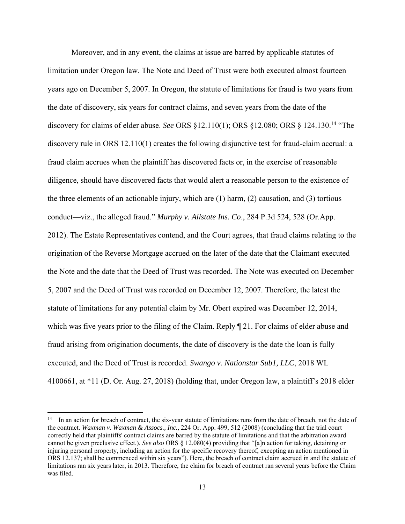Moreover, and in any event, the claims at issue are barred by applicable statutes of limitation under Oregon law. The Note and Deed of Trust were both executed almost fourteen years ago on December 5, 2007. In Oregon, the statute of limitations for fraud is two years from the date of discovery, six years for contract claims, and seven years from the date of the discovery for claims of elder abuse. *See* ORS §12.110(1); ORS §12.080; ORS § 124.130.14 "The discovery rule in ORS 12.110(1) creates the following disjunctive test for fraud-claim accrual: a fraud claim accrues when the plaintiff has discovered facts or, in the exercise of reasonable diligence, should have discovered facts that would alert a reasonable person to the existence of the three elements of an actionable injury, which are (1) harm, (2) causation, and (3) tortious conduct—viz., the alleged fraud." *Murphy v. Allstate Ins. Co*., 284 P.3d 524, 528 (Or.App. 2012). The Estate Representatives contend, and the Court agrees, that fraud claims relating to the origination of the Reverse Mortgage accrued on the later of the date that the Claimant executed the Note and the date that the Deed of Trust was recorded. The Note was executed on December 5, 2007 and the Deed of Trust was recorded on December 12, 2007. Therefore, the latest the statute of limitations for any potential claim by Mr. Obert expired was December 12, 2014, which was five years prior to the filing of the Claim. Reply ¶ 21. For claims of elder abuse and fraud arising from origination documents, the date of discovery is the date the loan is fully executed, and the Deed of Trust is recorded. *Swango v. Nationstar Sub1, LLC*, 2018 WL 4100661, at \*11 (D. Or. Aug. 27, 2018) (holding that, under Oregon law, a plaintiff's 2018 elder

<sup>&</sup>lt;sup>14</sup> In an action for breach of contract, the six-year statute of limitations runs from the date of breach, not the date of the contract. *Waxman v. Waxman & Assocs., Inc.,* 224 Or. App. 499, 512 (2008) (concluding that the trial court correctly held that plaintiffs' contract claims are barred by the statute of limitations and that the arbitration award cannot be given preclusive effect.). *See also* ORS § 12.080(4) providing that "[a]n action for taking, detaining or injuring personal property, including an action for the specific recovery thereof, excepting an action mentioned in ORS 12.137; shall be commenced within six years"). Here, the breach of contract claim accrued in and the statute of limitations ran six years later, in 2013. Therefore, the claim for breach of contract ran several years before the Claim was filed.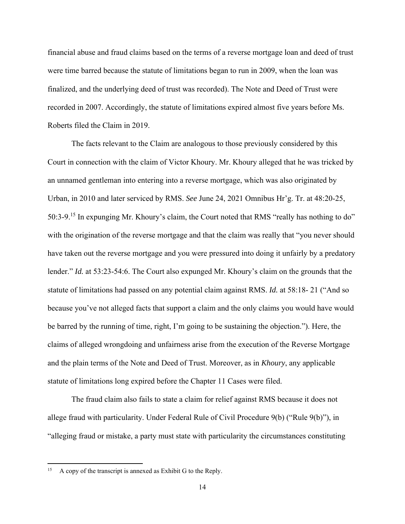financial abuse and fraud claims based on the terms of a reverse mortgage loan and deed of trust were time barred because the statute of limitations began to run in 2009, when the loan was finalized, and the underlying deed of trust was recorded). The Note and Deed of Trust were recorded in 2007. Accordingly, the statute of limitations expired almost five years before Ms. Roberts filed the Claim in 2019.

 The facts relevant to the Claim are analogous to those previously considered by this Court in connection with the claim of Victor Khoury. Mr. Khoury alleged that he was tricked by an unnamed gentleman into entering into a reverse mortgage, which was also originated by Urban, in 2010 and later serviced by RMS. *See* June 24, 2021 Omnibus Hr'g. Tr. at 48:20-25, 50:3-9.15 In expunging Mr. Khoury's claim, the Court noted that RMS "really has nothing to do" with the origination of the reverse mortgage and that the claim was really that "you never should have taken out the reverse mortgage and you were pressured into doing it unfairly by a predatory lender." *Id.* at 53:23-54:6. The Court also expunged Mr. Khoury's claim on the grounds that the statute of limitations had passed on any potential claim against RMS. *Id.* at 58:18- 21 ("And so because you've not alleged facts that support a claim and the only claims you would have would be barred by the running of time, right, I'm going to be sustaining the objection."). Here, the claims of alleged wrongdoing and unfairness arise from the execution of the Reverse Mortgage and the plain terms of the Note and Deed of Trust. Moreover, as in *Khoury*, any applicable statute of limitations long expired before the Chapter 11 Cases were filed.

 The fraud claim also fails to state a claim for relief against RMS because it does not allege fraud with particularity. Under Federal Rule of Civil Procedure 9(b) ("Rule 9(b)"), in "alleging fraud or mistake, a party must state with particularity the circumstances constituting

<sup>15</sup> A copy of the transcript is annexed as Exhibit G to the Reply.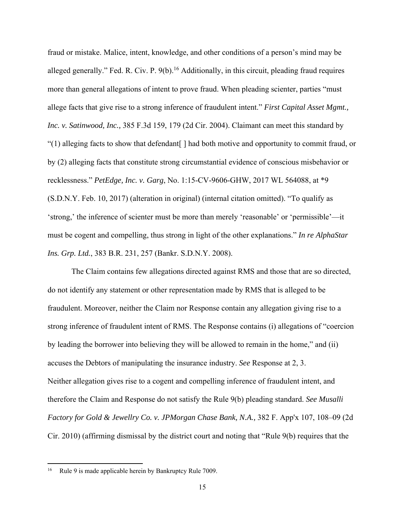fraud or mistake. Malice, intent, knowledge, and other conditions of a person's mind may be alleged generally." Fed. R. Civ. P.  $9(b)$ .<sup>16</sup> Additionally, in this circuit, pleading fraud requires more than general allegations of intent to prove fraud. When pleading scienter, parties "must allege facts that give rise to a strong inference of fraudulent intent." *First Capital Asset Mgmt., Inc. v. Satinwood, Inc.,* 385 F.3d 159, 179 (2d Cir. 2004). Claimant can meet this standard by "(1) alleging facts to show that defendant[ ] had both motive and opportunity to commit fraud, or by (2) alleging facts that constitute strong circumstantial evidence of conscious misbehavior or recklessness." *PetEdge, Inc. v. Garg*, No. 1:15-CV-9606-GHW, 2017 WL 564088, at \*9 (S.D.N.Y. Feb. 10, 2017) (alteration in original) (internal citation omitted). "To qualify as 'strong,' the inference of scienter must be more than merely 'reasonable' or 'permissible'—it must be cogent and compelling, thus strong in light of the other explanations." *In re AlphaStar Ins. Grp. Ltd.*, 383 B.R. 231, 257 (Bankr. S.D.N.Y. 2008).

 The Claim contains few allegations directed against RMS and those that are so directed, do not identify any statement or other representation made by RMS that is alleged to be fraudulent. Moreover, neither the Claim nor Response contain any allegation giving rise to a strong inference of fraudulent intent of RMS. The Response contains (i) allegations of "coercion by leading the borrower into believing they will be allowed to remain in the home," and (ii) accuses the Debtors of manipulating the insurance industry. *See* Response at 2, 3. Neither allegation gives rise to a cogent and compelling inference of fraudulent intent, and therefore the Claim and Response do not satisfy the Rule 9(b) pleading standard. *See Musalli Factory for Gold & Jewellry Co. v. JPMorgan Chase Bank, N.A.,* 382 F. App'x 107, 108–09 (2d Cir. 2010) (affirming dismissal by the district court and noting that "Rule 9(b) requires that the

Rule 9 is made applicable herein by Bankruptcy Rule 7009.